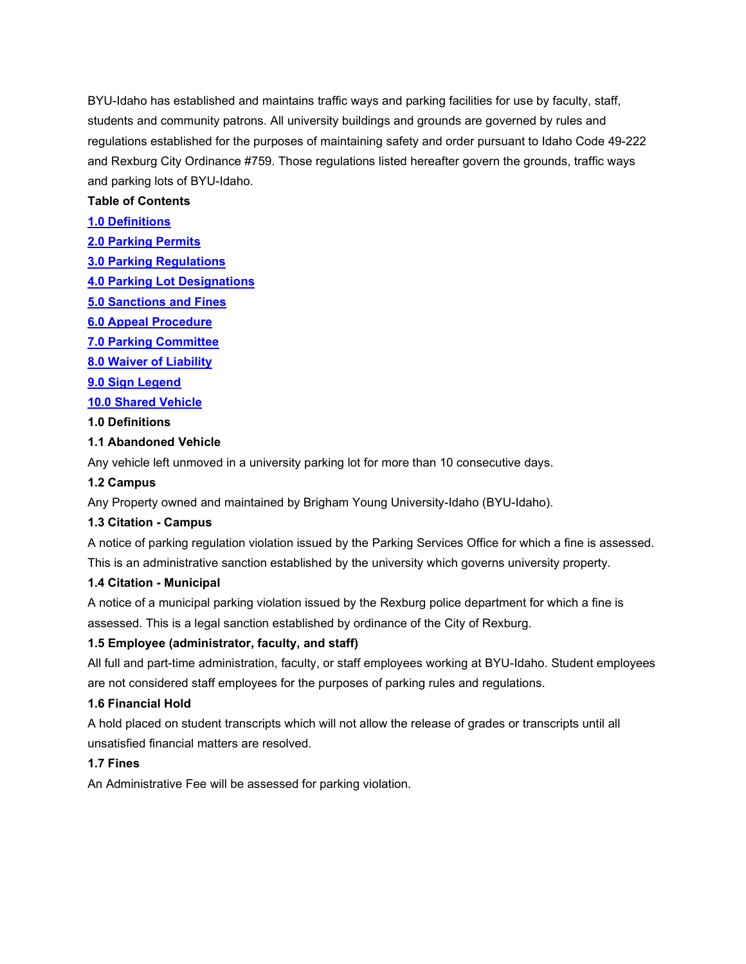BYU-Idaho has established and maintains traffic ways and parking facilities for use by faculty, staff, students and community patrons. All university buildings and grounds are governed by rules and regulations established for the purposes of maintaining safety and order pursuant to Idaho Code 49-222 and Rexburg City Ordinance #759. Those regulations listed hereafter govern the grounds, traffic ways and parking lots of BYU-Idaho.

## <span id="page-0-1"></span>**Table of Contents**

## **[1.0 Definitions](#page-0-0)**

- **[2.0 Parking Permits](#page-1-0)**
- **[3.0 Parking Regulations](#page-6-0)**
- **[4.0 Parking Lot Designations](#page-10-0)**
- **[5.0 Sanctions and Fines](#page-13-0)**
- **[6.0 Appeal Procedure](#page-16-0)**
- **[7.0 Parking Committee](#page-17-0)**
- **[8.0 Waiver of Liability](#page-17-1)**
- **[9.0 Sign Legend](#page-17-2)**

## **[10.0 Shared Vehicle](#page-18-0)**

### <span id="page-0-0"></span>**1.0 Definitions**

## **1.1 Abandoned Vehicle**

Any vehicle left unmoved in a university parking lot for more than 10 consecutive days.

## **1.2 Campus**

Any Property owned and maintained by Brigham Young University-Idaho (BYU-Idaho).

### **1.3 Citation - Campus**

A notice of parking regulation violation issued by the Parking Services Office for which a fine is assessed. This is an administrative sanction established by the university which governs university property.

### **1.4 Citation - Municipal**

A notice of a municipal parking violation issued by the Rexburg police department for which a fine is assessed. This is a legal sanction established by ordinance of the City of Rexburg.

# **1.5 Employee (administrator, faculty, and staff)**

All full and part-time administration, faculty, or staff employees working at BYU-Idaho. Student employees are not considered staff employees for the purposes of parking rules and regulations.

### **1.6 Financial Hold**

A hold placed on student transcripts which will not allow the release of grades or transcripts until all unsatisfied financial matters are resolved.

## **1.7 Fines**

An Administrative Fee will be assessed for parking violation.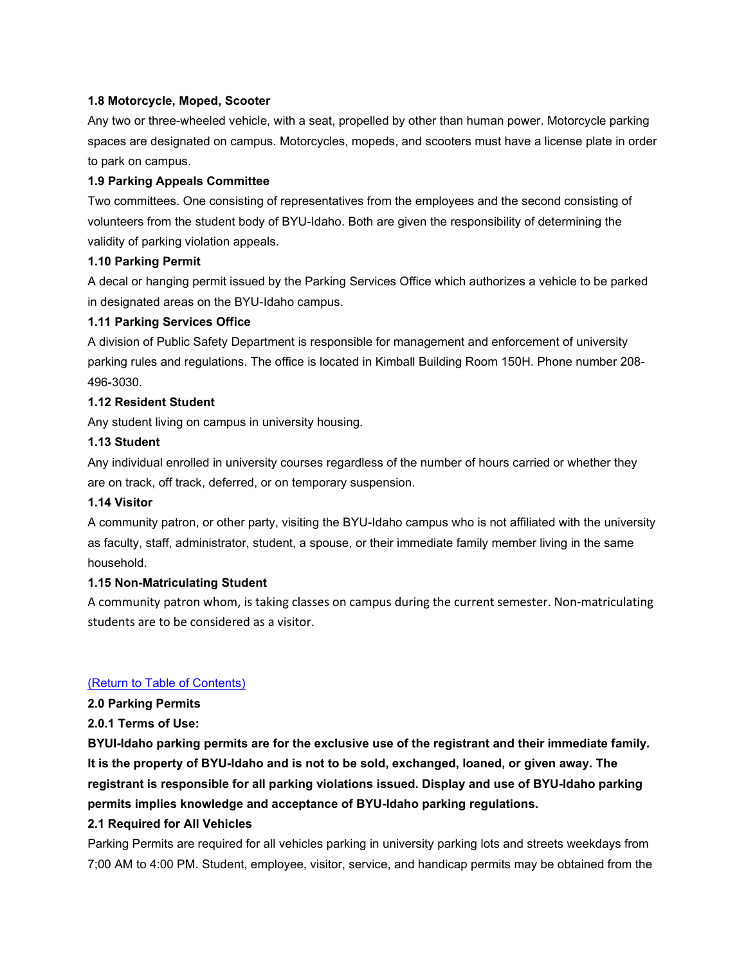### **1.8 Motorcycle, Moped, Scooter**

Any two or three-wheeled vehicle, with a seat, propelled by other than human power. Motorcycle parking spaces are designated on campus. Motorcycles, mopeds, and scooters must have a license plate in order to park on campus.

#### **1.9 Parking Appeals Committee**

Two committees. One consisting of representatives from the employees and the second consisting of volunteers from the student body of BYU-Idaho. Both are given the responsibility of determining the validity of parking violation appeals.

#### **1.10 Parking Permit**

A decal or hanging permit issued by the Parking Services Office which authorizes a vehicle to be parked in designated areas on the BYU-Idaho campus.

#### **1.11 Parking Services Office**

A division of Public Safety Department is responsible for management and enforcement of university parking rules and regulations. The office is located in Kimball Building Room 150H. Phone number 208- 496-3030.

#### **1.12 Resident Student**

Any student living on campus in university housing.

#### **1.13 Student**

Any individual enrolled in university courses regardless of the number of hours carried or whether they are on track, off track, deferred, or on temporary suspension.

### **1.14 Visitor**

A community patron, or other party, visiting the BYU-Idaho campus who is not affiliated with the university as faculty, staff, administrator, student, a spouse, or their immediate family member living in the same household.

#### **1.15 Non-Matriculating Student**

A community patron whom, is taking classes on campus during the current semester. Non-matriculating students are to be considered as a visitor.

#### [\(Return to Table of Contents\)](#page-0-1)

<span id="page-1-0"></span>**2.0 Parking Permits**

**2.0.1 Terms of Use:**

**BYUI-Idaho parking permits are for the exclusive use of the registrant and their immediate family. It is the property of BYU-Idaho and is not to be sold, exchanged, loaned, or given away. The registrant is responsible for all parking violations issued. Display and use of BYU-Idaho parking permits implies knowledge and acceptance of BYU-Idaho parking regulations.**

### **2.1 Required for All Vehicles**

Parking Permits are required for all vehicles parking in university parking lots and streets weekdays from 7;00 AM to 4:00 PM. Student, employee, visitor, service, and handicap permits may be obtained from the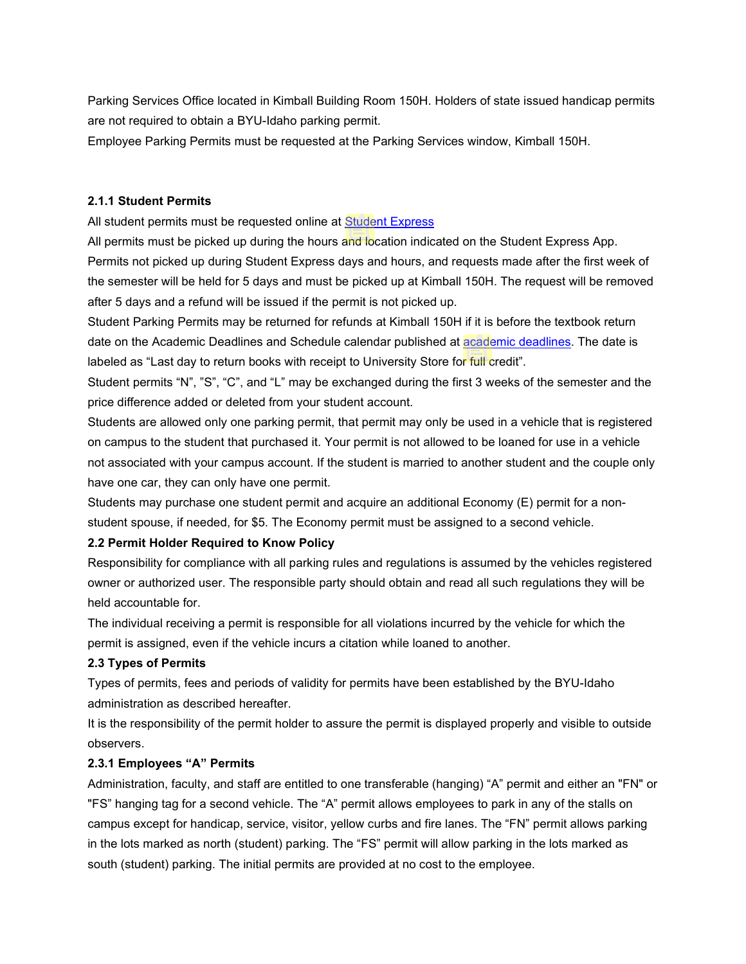Parking Services Office located in Kimball Building Room 150H. Holders of state issued handicap permits are not required to obtain a BYU-Idaho parking permit.

Employee Parking Permits must be requested at the Parking Services window, Kimball 150H.

## **2.1.1 Student Permits**

All student permits must be requested online at **Student Express** 

All permits must be picked up during the hours and location indicated on the Student Express App. Permits not picked up during Student Express days and hours, and requests made after the first week of the semester will be held for 5 days and must be picked up at Kimball 150H. The request will be removed after 5 days and a refund will be issued if the permit is not picked up.

Student Parking Permits may be returned for refunds at Kimball 150H if it is before the textbook return date on the Academic Deadlines and Schedule calendar published at [academic deadlines.](https://www.byui.edu/student-records/academic-deadlines) The date is labeled as "Last day to return books with receipt to University Store for full credit".

Student permits "N", "S", "C", and "L" may be exchanged during the first 3 weeks of the semester and the price difference added or deleted from your student account.

Students are allowed only one parking permit, that permit may only be used in a vehicle that is registered on campus to the student that purchased it. Your permit is not allowed to be loaned for use in a vehicle not associated with your campus account. If the student is married to another student and the couple only have one car, they can only have one permit.

Students may purchase one student permit and acquire an additional Economy (E) permit for a nonstudent spouse, if needed, for \$5. The Economy permit must be assigned to a second vehicle.

# **2.2 Permit Holder Required to Know Policy**

Responsibility for compliance with all parking rules and regulations is assumed by the vehicles registered owner or authorized user. The responsible party should obtain and read all such regulations they will be held accountable for.

The individual receiving a permit is responsible for all violations incurred by the vehicle for which the permit is assigned, even if the vehicle incurs a citation while loaned to another.

# **2.3 Types of Permits**

Types of permits, fees and periods of validity for permits have been established by the BYU-Idaho administration as described hereafter.

It is the responsibility of the permit holder to assure the permit is displayed properly and visible to outside observers.

### **2.3.1 Employees "A" Permits**

Administration, faculty, and staff are entitled to one transferable (hanging) "A" permit and either an "FN" or "FS" hanging tag for a second vehicle. The "A" permit allows employees to park in any of the stalls on campus except for handicap, service, visitor, yellow curbs and fire lanes. The "FN" permit allows parking in the lots marked as north (student) parking. The "FS" permit will allow parking in the lots marked as south (student) parking. The initial permits are provided at no cost to the employee.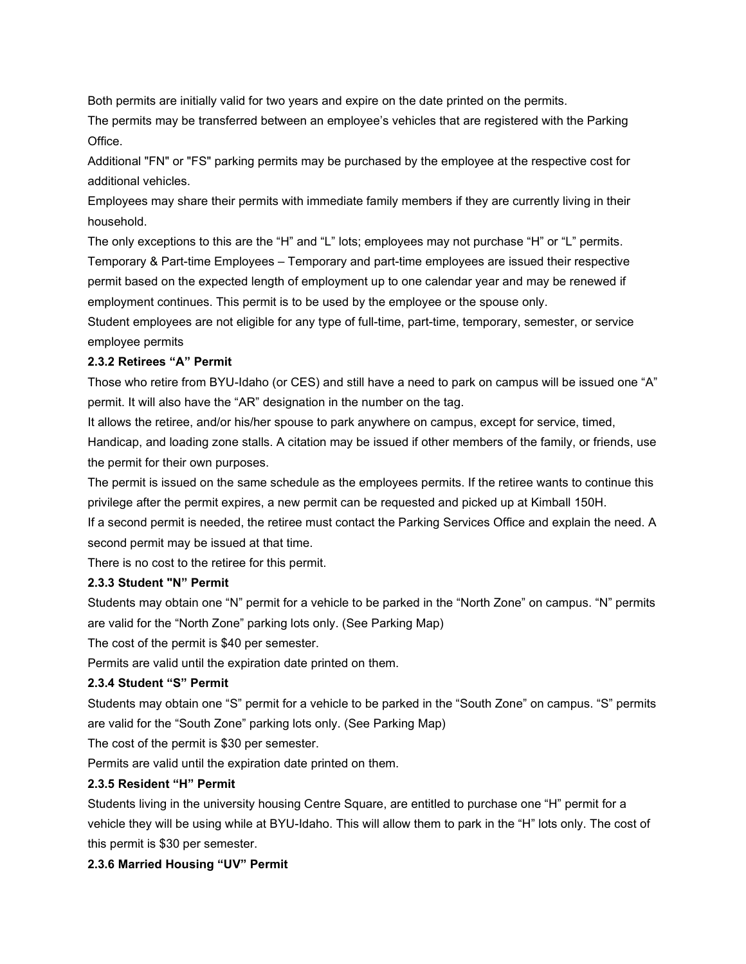Both permits are initially valid for two years and expire on the date printed on the permits.

The permits may be transferred between an employee's vehicles that are registered with the Parking Office.

Additional "FN" or "FS" parking permits may be purchased by the employee at the respective cost for additional vehicles.

Employees may share their permits with immediate family members if they are currently living in their household.

The only exceptions to this are the "H" and "L" lots; employees may not purchase "H" or "L" permits. Temporary & Part-time Employees – Temporary and part-time employees are issued their respective permit based on the expected length of employment up to one calendar year and may be renewed if employment continues. This permit is to be used by the employee or the spouse only.

Student employees are not eligible for any type of full-time, part-time, temporary, semester, or service employee permits

### **2.3.2 Retirees "A" Permit**

Those who retire from BYU-Idaho (or CES) and still have a need to park on campus will be issued one "A" permit. It will also have the "AR" designation in the number on the tag.

It allows the retiree, and/or his/her spouse to park anywhere on campus, except for service, timed,

Handicap, and loading zone stalls. A citation may be issued if other members of the family, or friends, use the permit for their own purposes.

The permit is issued on the same schedule as the employees permits. If the retiree wants to continue this privilege after the permit expires, a new permit can be requested and picked up at Kimball 150H.

If a second permit is needed, the retiree must contact the Parking Services Office and explain the need. A second permit may be issued at that time.

There is no cost to the retiree for this permit.

## **2.3.3 Student "N" Permit**

Students may obtain one "N" permit for a vehicle to be parked in the "North Zone" on campus. "N" permits are valid for the "North Zone" parking lots only. (See Parking Map)

The cost of the permit is \$40 per semester.

Permits are valid until the expiration date printed on them.

### **2.3.4 Student "S" Permit**

Students may obtain one "S" permit for a vehicle to be parked in the "South Zone" on campus. "S" permits are valid for the "South Zone" parking lots only. (See Parking Map)

The cost of the permit is \$30 per semester.

Permits are valid until the expiration date printed on them.

### **2.3.5 Resident "H" Permit**

Students living in the university housing Centre Square, are entitled to purchase one "H" permit for a vehicle they will be using while at BYU-Idaho. This will allow them to park in the "H" lots only. The cost of this permit is \$30 per semester.

### **2.3.6 Married Housing "UV" Permit**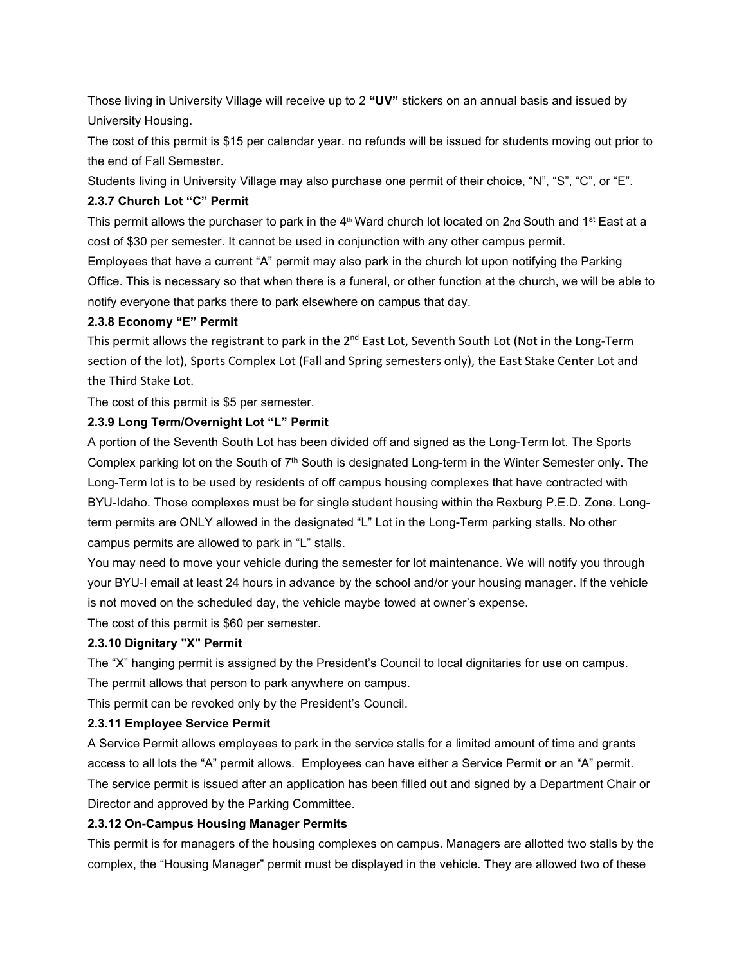Those living in University Village will receive up to 2 **"UV"** stickers on an annual basis and issued by University Housing.

The cost of this permit is \$15 per calendar year. no refunds will be issued for students moving out prior to the end of Fall Semester.

Students living in University Village may also purchase one permit of their choice, "N", "S", "C", or "E".

## **2.3.7 Church Lot "C" Permit**

This permit allows the purchaser to park in the  $4<sup>th</sup>$  Ward church lot located on 2nd South and 1<sup>st</sup> East at a cost of \$30 per semester. It cannot be used in conjunction with any other campus permit.

Employees that have a current "A" permit may also park in the church lot upon notifying the Parking Office. This is necessary so that when there is a funeral, or other function at the church, we will be able to notify everyone that parks there to park elsewhere on campus that day.

## **2.3.8 Economy "E" Permit**

This permit allows the registrant to park in the 2<sup>nd</sup> East Lot, Seventh South Lot (Not in the Long-Term section of the lot), Sports Complex Lot (Fall and Spring semesters only), the East Stake Center Lot and the Third Stake Lot.

The cost of this permit is \$5 per semester.

# **2.3.9 Long Term/Overnight Lot "L" Permit**

A portion of the Seventh South Lot has been divided off and signed as the Long-Term lot. The Sports Complex parking lot on the South of 7<sup>th</sup> South is designated Long-term in the Winter Semester only. The Long-Term lot is to be used by residents of off campus housing complexes that have contracted with BYU-Idaho. Those complexes must be for single student housing within the Rexburg P.E.D. Zone. Longterm permits are ONLY allowed in the designated "L" Lot in the Long-Term parking stalls. No other campus permits are allowed to park in "L" stalls.

You may need to move your vehicle during the semester for lot maintenance. We will notify you through your BYU-I email at least 24 hours in advance by the school and/or your housing manager. If the vehicle is not moved on the scheduled day, the vehicle maybe towed at owner's expense.

The cost of this permit is \$60 per semester.

# **2.3.10 Dignitary "X" Permit**

The "X" hanging permit is assigned by the President's Council to local dignitaries for use on campus. The permit allows that person to park anywhere on campus.

This permit can be revoked only by the President's Council.

# **2.3.11 Employee Service Permit**

A Service Permit allows employees to park in the service stalls for a limited amount of time and grants access to all lots the "A" permit allows. Employees can have either a Service Permit **or** an "A" permit. The service permit is issued after an application has been filled out and signed by a Department Chair or Director and approved by the Parking Committee.

# **2.3.12 On-Campus Housing Manager Permits**

This permit is for managers of the housing complexes on campus. Managers are allotted two stalls by the complex, the "Housing Manager" permit must be displayed in the vehicle. They are allowed two of these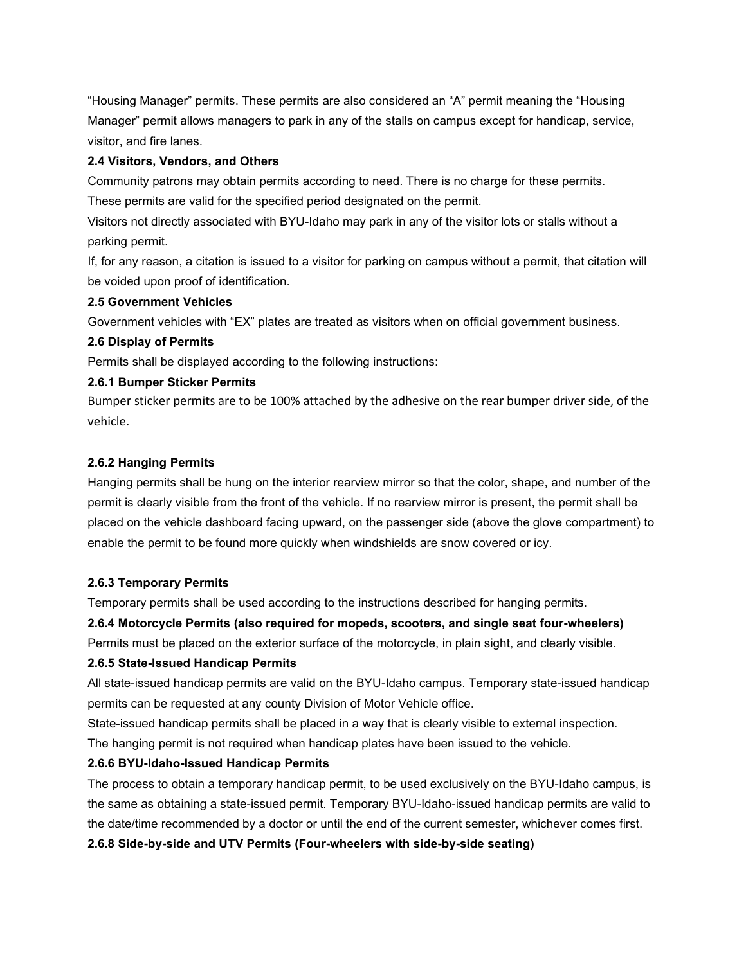"Housing Manager" permits. These permits are also considered an "A" permit meaning the "Housing Manager" permit allows managers to park in any of the stalls on campus except for handicap, service, visitor, and fire lanes.

#### **2.4 Visitors, Vendors, and Others**

Community patrons may obtain permits according to need. There is no charge for these permits. These permits are valid for the specified period designated on the permit.

Visitors not directly associated with BYU-Idaho may park in any of the visitor lots or stalls without a parking permit.

If, for any reason, a citation is issued to a visitor for parking on campus without a permit, that citation will be voided upon proof of identification.

#### **2.5 Government Vehicles**

Government vehicles with "EX" plates are treated as visitors when on official government business.

#### **2.6 Display of Permits**

Permits shall be displayed according to the following instructions:

#### **2.6.1 Bumper Sticker Permits**

Bumper sticker permits are to be 100% attached by the adhesive on the rear bumper driver side, of the vehicle.

#### **2.6.2 Hanging Permits**

Hanging permits shall be hung on the interior rearview mirror so that the color, shape, and number of the permit is clearly visible from the front of the vehicle. If no rearview mirror is present, the permit shall be placed on the vehicle dashboard facing upward, on the passenger side (above the glove compartment) to enable the permit to be found more quickly when windshields are snow covered or icy.

#### **2.6.3 Temporary Permits**

Temporary permits shall be used according to the instructions described for hanging permits.

**2.6.4 Motorcycle Permits (also required for mopeds, scooters, and single seat four-wheelers)**

Permits must be placed on the exterior surface of the motorcycle, in plain sight, and clearly visible.

### **2.6.5 State-Issued Handicap Permits**

All state-issued handicap permits are valid on the BYU-Idaho campus. Temporary state-issued handicap permits can be requested at any county Division of Motor Vehicle office.

State-issued handicap permits shall be placed in a way that is clearly visible to external inspection.

The hanging permit is not required when handicap plates have been issued to the vehicle.

### **2.6.6 BYU-Idaho-Issued Handicap Permits**

The process to obtain a temporary handicap permit, to be used exclusively on the BYU-Idaho campus, is the same as obtaining a state-issued permit. Temporary BYU-Idaho-issued handicap permits are valid to the date/time recommended by a doctor or until the end of the current semester, whichever comes first.

#### **2.6.8 Side-by-side and UTV Permits (Four-wheelers with side-by-side seating)**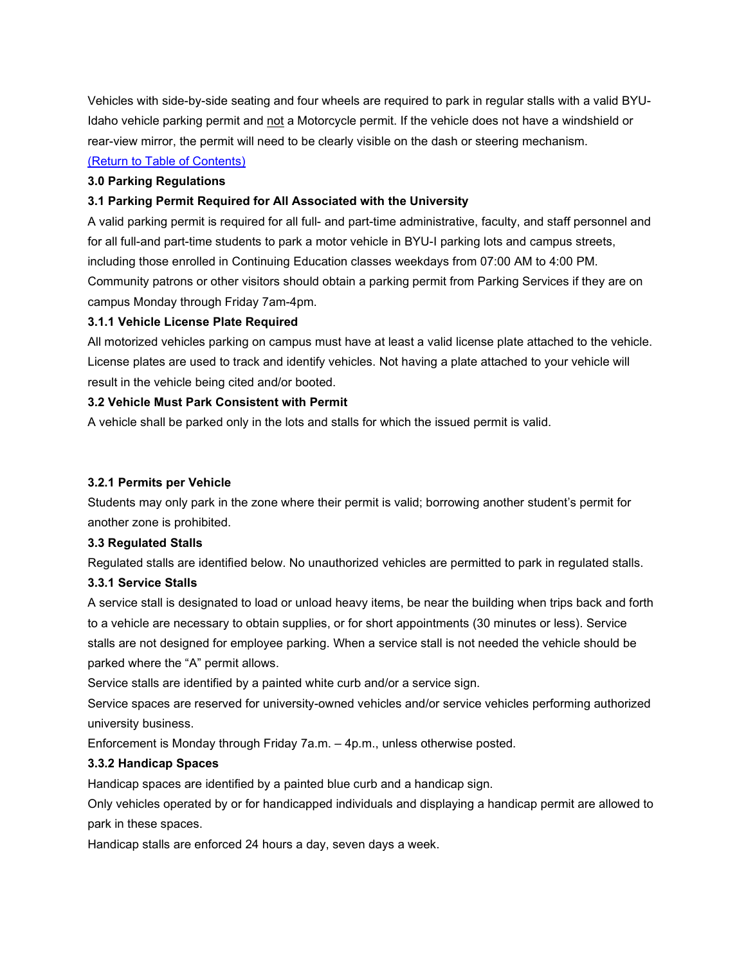Vehicles with side-by-side seating and four wheels are required to park in regular stalls with a valid BYU-Idaho vehicle parking permit and not a Motorcycle permit. If the vehicle does not have a windshield or rear-view mirror, the permit will need to be clearly visible on the dash or steering mechanism.

## [\(Return to Table of Contents\)](#page-0-1)

#### <span id="page-6-0"></span>**3.0 Parking Regulations**

### **3.1 Parking Permit Required for All Associated with the University**

A valid parking permit is required for all full- and part-time administrative, faculty, and staff personnel and for all full-and part-time students to park a motor vehicle in BYU-I parking lots and campus streets, including those enrolled in Continuing Education classes weekdays from 07:00 AM to 4:00 PM. Community patrons or other visitors should obtain a parking permit from Parking Services if they are on campus Monday through Friday 7am-4pm.

#### **3.1.1 Vehicle License Plate Required**

All motorized vehicles parking on campus must have at least a valid license plate attached to the vehicle. License plates are used to track and identify vehicles. Not having a plate attached to your vehicle will result in the vehicle being cited and/or booted.

#### **3.2 Vehicle Must Park Consistent with Permit**

A vehicle shall be parked only in the lots and stalls for which the issued permit is valid.

#### **3.2.1 Permits per Vehicle**

Students may only park in the zone where their permit is valid; borrowing another student's permit for another zone is prohibited.

#### **3.3 Regulated Stalls**

Regulated stalls are identified below. No unauthorized vehicles are permitted to park in regulated stalls.

### **3.3.1 Service Stalls**

A service stall is designated to load or unload heavy items, be near the building when trips back and forth to a vehicle are necessary to obtain supplies, or for short appointments (30 minutes or less). Service stalls are not designed for employee parking. When a service stall is not needed the vehicle should be parked where the "A" permit allows.

Service stalls are identified by a painted white curb and/or a service sign.

Service spaces are reserved for university-owned vehicles and/or service vehicles performing authorized university business.

Enforcement is Monday through Friday 7a.m. – 4p.m., unless otherwise posted.

### **3.3.2 Handicap Spaces**

Handicap spaces are identified by a painted blue curb and a handicap sign.

Only vehicles operated by or for handicapped individuals and displaying a handicap permit are allowed to park in these spaces.

Handicap stalls are enforced 24 hours a day, seven days a week.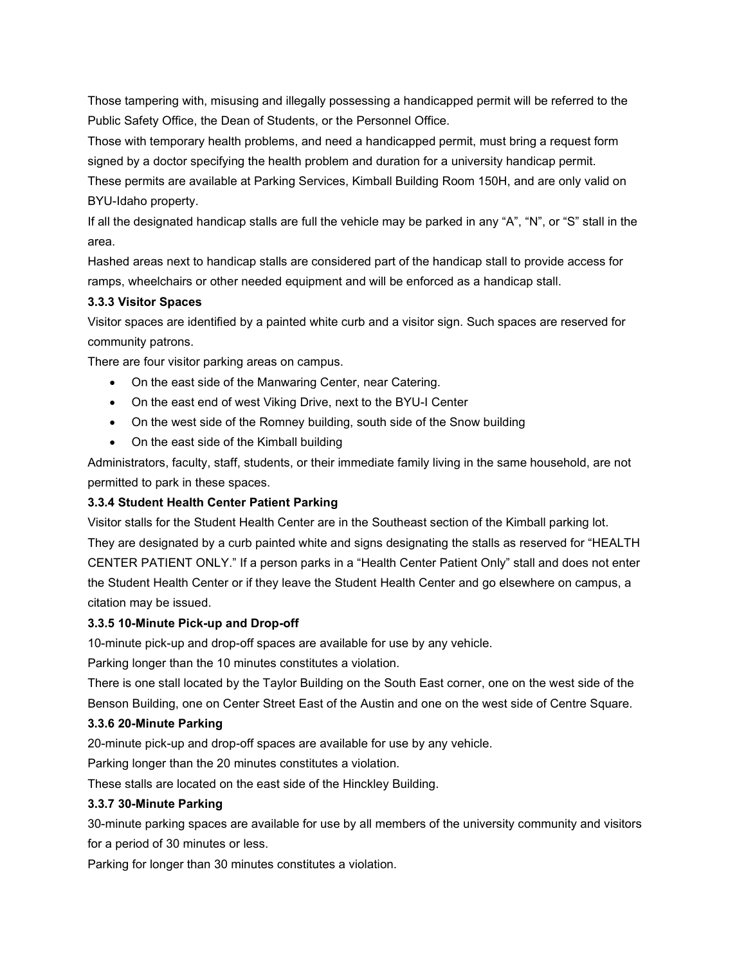Those tampering with, misusing and illegally possessing a handicapped permit will be referred to the Public Safety Office, the Dean of Students, or the Personnel Office.

Those with temporary health problems, and need a handicapped permit, must bring a request form signed by a doctor specifying the health problem and duration for a university handicap permit. These permits are available at Parking Services, Kimball Building Room 150H, and are only valid on BYU-Idaho property.

If all the designated handicap stalls are full the vehicle may be parked in any "A", "N", or "S" stall in the area.

Hashed areas next to handicap stalls are considered part of the handicap stall to provide access for ramps, wheelchairs or other needed equipment and will be enforced as a handicap stall.

### **3.3.3 Visitor Spaces**

Visitor spaces are identified by a painted white curb and a visitor sign. Such spaces are reserved for community patrons.

There are four visitor parking areas on campus.

- On the east side of the Manwaring Center, near Catering.
- On the east end of west Viking Drive, next to the BYU-I Center
- On the west side of the Romney building, south side of the Snow building
- On the east side of the Kimball building

Administrators, faculty, staff, students, or their immediate family living in the same household, are not permitted to park in these spaces.

#### **3.3.4 Student Health Center Patient Parking**

Visitor stalls for the Student Health Center are in the Southeast section of the Kimball parking lot. They are designated by a curb painted white and signs designating the stalls as reserved for "HEALTH CENTER PATIENT ONLY." If a person parks in a "Health Center Patient Only" stall and does not enter the Student Health Center or if they leave the Student Health Center and go elsewhere on campus, a citation may be issued.

#### **3.3.5 10-Minute Pick-up and Drop-off**

10-minute pick-up and drop-off spaces are available for use by any vehicle.

Parking longer than the 10 minutes constitutes a violation.

There is one stall located by the Taylor Building on the South East corner, one on the west side of the Benson Building, one on Center Street East of the Austin and one on the west side of Centre Square.

#### **3.3.6 20-Minute Parking**

20-minute pick-up and drop-off spaces are available for use by any vehicle.

Parking longer than the 20 minutes constitutes a violation.

These stalls are located on the east side of the Hinckley Building.

#### **3.3.7 30-Minute Parking**

30-minute parking spaces are available for use by all members of the university community and visitors for a period of 30 minutes or less.

Parking for longer than 30 minutes constitutes a violation.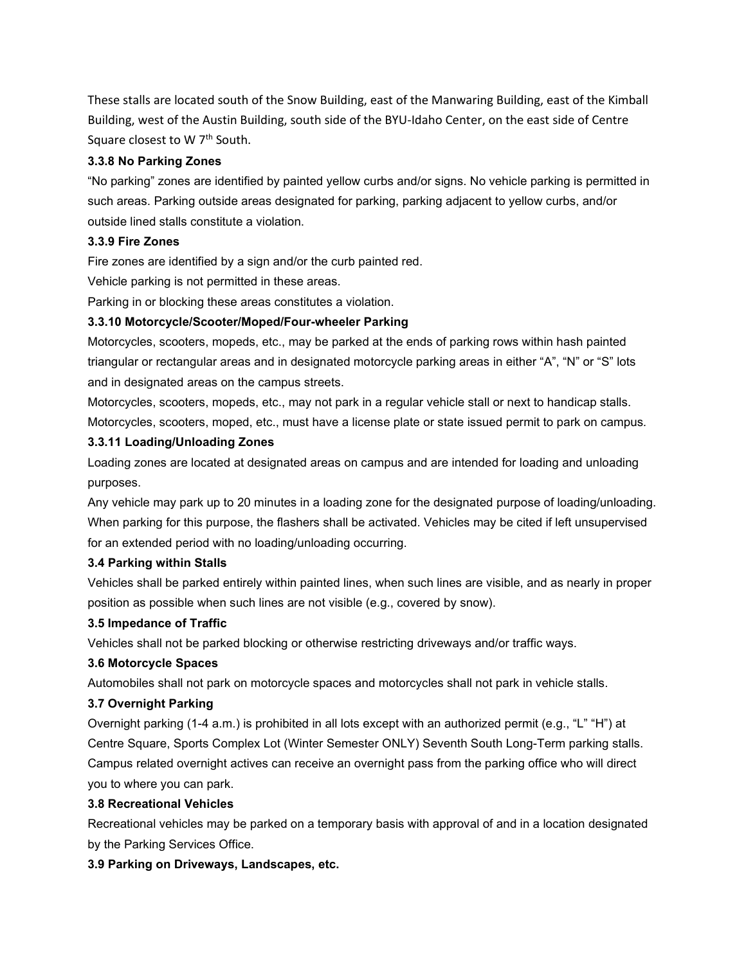These stalls are located south of the Snow Building, east of the Manwaring Building, east of the Kimball Building, west of the Austin Building, south side of the BYU-Idaho Center, on the east side of Centre Square closest to W 7<sup>th</sup> South.

#### **3.3.8 No Parking Zones**

"No parking" zones are identified by painted yellow curbs and/or signs. No vehicle parking is permitted in such areas. Parking outside areas designated for parking, parking adjacent to yellow curbs, and/or outside lined stalls constitute a violation.

#### **3.3.9 Fire Zones**

Fire zones are identified by a sign and/or the curb painted red.

Vehicle parking is not permitted in these areas.

Parking in or blocking these areas constitutes a violation.

#### **3.3.10 Motorcycle/Scooter/Moped/Four-wheeler Parking**

Motorcycles, scooters, mopeds, etc., may be parked at the ends of parking rows within hash painted triangular or rectangular areas and in designated motorcycle parking areas in either "A", "N" or "S" lots and in designated areas on the campus streets.

Motorcycles, scooters, mopeds, etc., may not park in a regular vehicle stall or next to handicap stalls. Motorcycles, scooters, moped, etc., must have a license plate or state issued permit to park on campus*.*

#### **3.3.11 Loading/Unloading Zones**

Loading zones are located at designated areas on campus and are intended for loading and unloading purposes.

Any vehicle may park up to 20 minutes in a loading zone for the designated purpose of loading/unloading. When parking for this purpose, the flashers shall be activated. Vehicles may be cited if left unsupervised for an extended period with no loading/unloading occurring.

#### **3.4 Parking within Stalls**

Vehicles shall be parked entirely within painted lines, when such lines are visible, and as nearly in proper position as possible when such lines are not visible (e.g., covered by snow).

### **3.5 Impedance of Traffic**

Vehicles shall not be parked blocking or otherwise restricting driveways and/or traffic ways.

### **3.6 Motorcycle Spaces**

Automobiles shall not park on motorcycle spaces and motorcycles shall not park in vehicle stalls.

### **3.7 Overnight Parking**

Overnight parking (1-4 a.m.) is prohibited in all lots except with an authorized permit (e.g., "L" "H") at Centre Square, Sports Complex Lot (Winter Semester ONLY) Seventh South Long-Term parking stalls. Campus related overnight actives can receive an overnight pass from the parking office who will direct you to where you can park.

## **3.8 Recreational Vehicles**

Recreational vehicles may be parked on a temporary basis with approval of and in a location designated by the Parking Services Office.

#### **3.9 Parking on Driveways, Landscapes, etc.**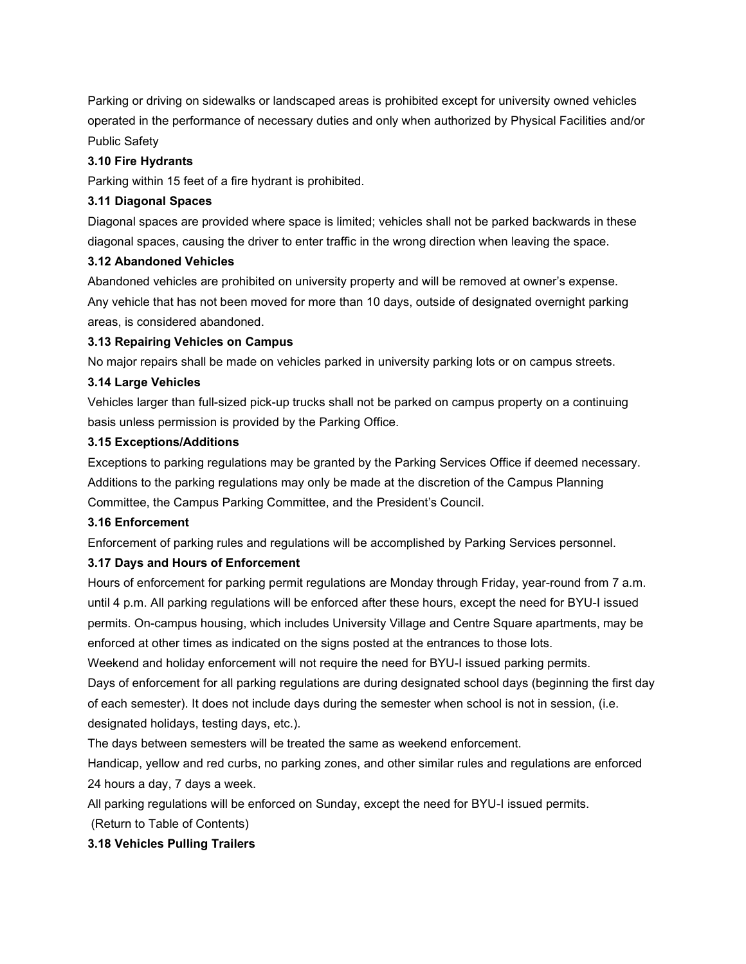Parking or driving on sidewalks or landscaped areas is prohibited except for university owned vehicles operated in the performance of necessary duties and only when authorized by Physical Facilities and/or Public Safety

#### **3.10 Fire Hydrants**

Parking within 15 feet of a fire hydrant is prohibited.

#### **3.11 Diagonal Spaces**

Diagonal spaces are provided where space is limited; vehicles shall not be parked backwards in these diagonal spaces, causing the driver to enter traffic in the wrong direction when leaving the space.

#### **3.12 Abandoned Vehicles**

Abandoned vehicles are prohibited on university property and will be removed at owner's expense. Any vehicle that has not been moved for more than 10 days, outside of designated overnight parking areas, is considered abandoned.

#### **3.13 Repairing Vehicles on Campus**

No major repairs shall be made on vehicles parked in university parking lots or on campus streets.

#### **3.14 Large Vehicles**

Vehicles larger than full-sized pick-up trucks shall not be parked on campus property on a continuing basis unless permission is provided by the Parking Office.

#### **3.15 Exceptions/Additions**

Exceptions to parking regulations may be granted by the Parking Services Office if deemed necessary. Additions to the parking regulations may only be made at the discretion of the Campus Planning Committee, the Campus Parking Committee, and the President's Council.

#### **3.16 Enforcement**

Enforcement of parking rules and regulations will be accomplished by Parking Services personnel.

### **3.17 Days and Hours of Enforcement**

Hours of enforcement for parking permit regulations are Monday through Friday, year-round from 7 a.m. until 4 p.m. All parking regulations will be enforced after these hours, except the need for BYU-I issued permits. On-campus housing, which includes University Village and Centre Square apartments, may be enforced at other times as indicated on the signs posted at the entrances to those lots.

Weekend and holiday enforcement will not require the need for BYU-I issued parking permits.

Days of enforcement for all parking regulations are during designated school days (beginning the first day of each semester). It does not include days during the semester when school is not in session, (i.e. designated holidays, testing days, etc.).

The days between semesters will be treated the same as weekend enforcement.

Handicap, yellow and red curbs, no parking zones, and other similar rules and regulations are enforced 24 hours a day, 7 days a week.

All parking regulations will be enforced on Sunday, except the need for BYU-I issued permits.

(Return to Table of Contents)

### **3.18 Vehicles Pulling Trailers**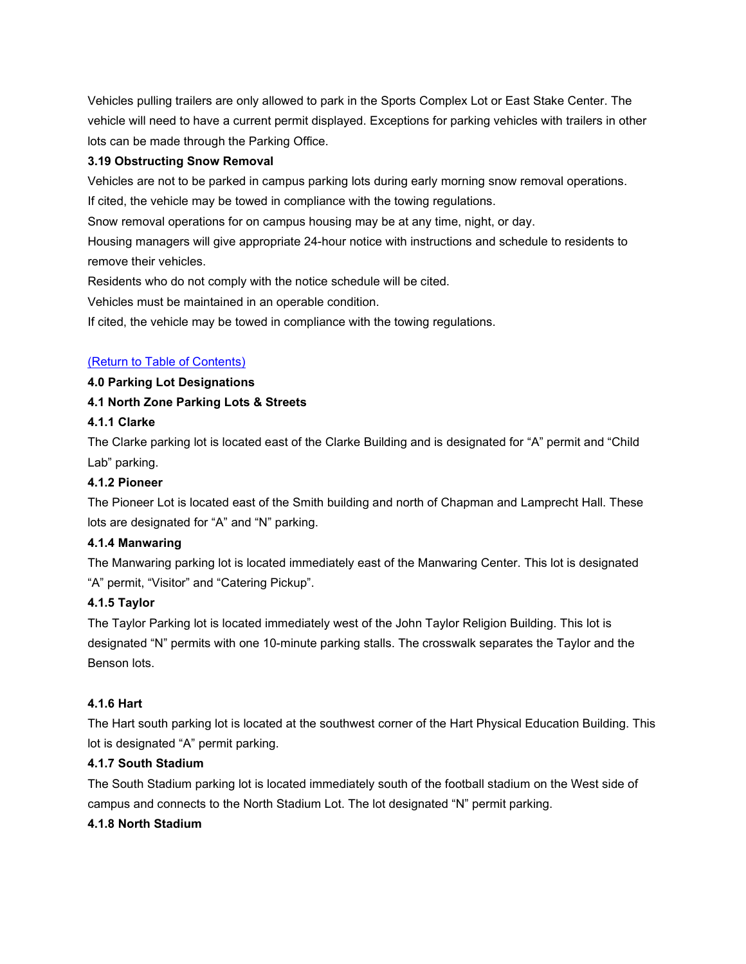Vehicles pulling trailers are only allowed to park in the Sports Complex Lot or East Stake Center. The vehicle will need to have a current permit displayed. Exceptions for parking vehicles with trailers in other lots can be made through the Parking Office.

## **3.19 Obstructing Snow Removal**

Vehicles are not to be parked in campus parking lots during early morning snow removal operations. If cited, the vehicle may be towed in compliance with the towing regulations.

Snow removal operations for on campus housing may be at any time, night, or day.

Housing managers will give appropriate 24-hour notice with instructions and schedule to residents to remove their vehicles.

Residents who do not comply with the notice schedule will be cited.

Vehicles must be maintained in an operable condition.

If cited, the vehicle may be towed in compliance with the towing regulations.

### [\(Return to Table of Contents\)](#page-0-1)

#### <span id="page-10-0"></span>**4.0 Parking Lot Designations**

### **4.1 North Zone Parking Lots & Streets**

## **4.1.1 Clarke**

The Clarke parking lot is located east of the Clarke Building and is designated for "A" permit and "Child Lab" parking.

### **4.1.2 Pioneer**

The Pioneer Lot is located east of the Smith building and north of Chapman and Lamprecht Hall. These lots are designated for "A" and "N" parking.

### **4.1.4 Manwaring**

The Manwaring parking lot is located immediately east of the Manwaring Center. This lot is designated "A" permit, "Visitor" and "Catering Pickup".

### **4.1.5 Taylor**

The Taylor Parking lot is located immediately west of the John Taylor Religion Building. This lot is designated "N" permits with one 10-minute parking stalls. The crosswalk separates the Taylor and the Benson lots.

## **4.1.6 Hart**

The Hart south parking lot is located at the southwest corner of the Hart Physical Education Building. This lot is designated "A" permit parking.

### **4.1.7 South Stadium**

The South Stadium parking lot is located immediately south of the football stadium on the West side of campus and connects to the North Stadium Lot. The lot designated "N" permit parking.

## **4.1.8 North Stadium**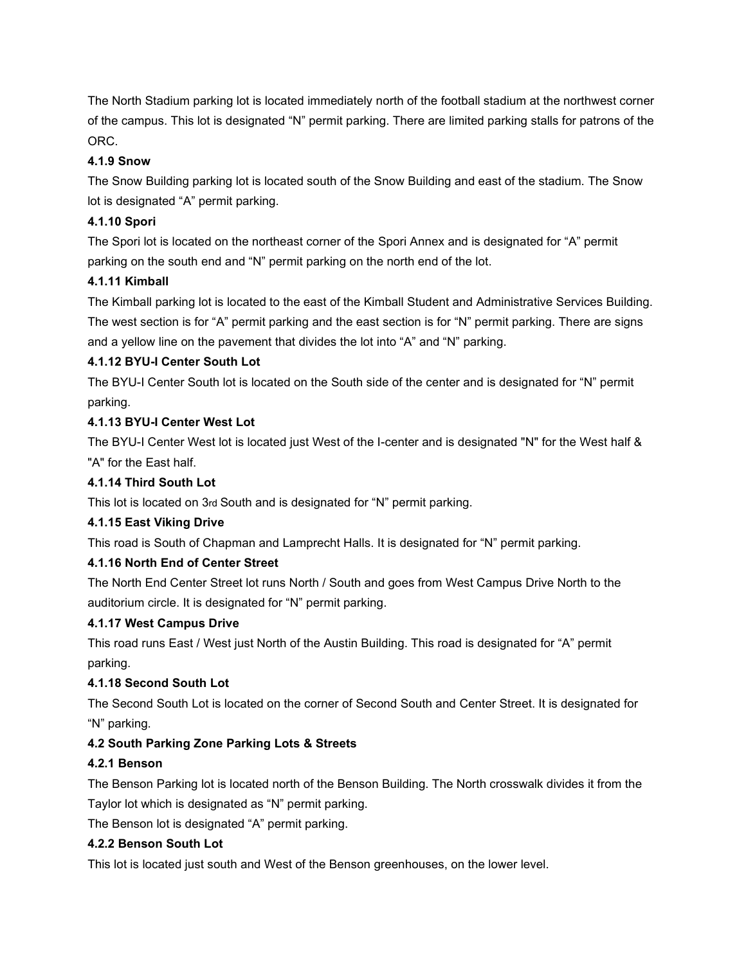The North Stadium parking lot is located immediately north of the football stadium at the northwest corner of the campus. This lot is designated "N" permit parking. There are limited parking stalls for patrons of the ORC.

## **4.1.9 Snow**

The Snow Building parking lot is located south of the Snow Building and east of the stadium. The Snow lot is designated "A" permit parking.

## **4.1.10 Spori**

The Spori lot is located on the northeast corner of the Spori Annex and is designated for "A" permit parking on the south end and "N" permit parking on the north end of the lot.

## **4.1.11 Kimball**

The Kimball parking lot is located to the east of the Kimball Student and Administrative Services Building. The west section is for "A" permit parking and the east section is for "N" permit parking. There are signs and a yellow line on the pavement that divides the lot into "A" and "N" parking.

## **4.1.12 BYU-I Center South Lot**

The BYU-I Center South lot is located on the South side of the center and is designated for "N" permit parking.

## **4.1.13 BYU-I Center West Lot**

The BYU-I Center West lot is located just West of the I-center and is designated "N" for the West half & "A" for the East half.

## **4.1.14 Third South Lot**

This lot is located on 3rd South and is designated for "N" permit parking.

### **4.1.15 East Viking Drive**

This road is South of Chapman and Lamprecht Halls. It is designated for "N" permit parking.

### **4.1.16 North End of Center Street**

The North End Center Street lot runs North / South and goes from West Campus Drive North to the auditorium circle. It is designated for "N" permit parking.

### **4.1.17 West Campus Drive**

This road runs East / West just North of the Austin Building. This road is designated for "A" permit parking.

# **4.1.18 Second South Lot**

The Second South Lot is located on the corner of Second South and Center Street. It is designated for "N" parking.

# **4.2 South Parking Zone Parking Lots & Streets**

### **4.2.1 Benson**

The Benson Parking lot is located north of the Benson Building. The North crosswalk divides it from the Taylor lot which is designated as "N" permit parking.

The Benson lot is designated "A" permit parking.

### **4.2.2 Benson South Lot**

This lot is located just south and West of the Benson greenhouses, on the lower level.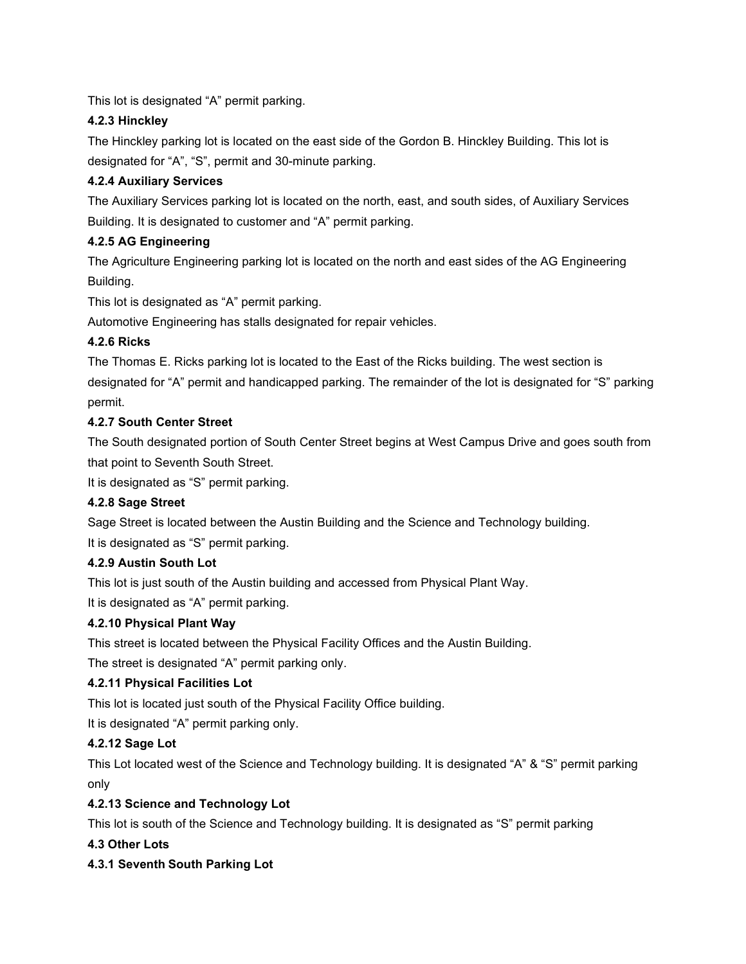This lot is designated "A" permit parking.

# **4.2.3 Hinckley**

The Hinckley parking lot is located on the east side of the Gordon B. Hinckley Building. This lot is designated for "A", "S", permit and 30-minute parking.

# **4.2.4 Auxiliary Services**

The Auxiliary Services parking lot is located on the north, east, and south sides, of Auxiliary Services Building. It is designated to customer and "A" permit parking.

# **4.2.5 AG Engineering**

The Agriculture Engineering parking lot is located on the north and east sides of the AG Engineering Building.

This lot is designated as "A" permit parking.

Automotive Engineering has stalls designated for repair vehicles.

# **4.2.6 Ricks**

The Thomas E. Ricks parking lot is located to the East of the Ricks building. The west section is designated for "A" permit and handicapped parking. The remainder of the lot is designated for "S" parking permit.

# **4.2.7 South Center Street**

The South designated portion of South Center Street begins at West Campus Drive and goes south from that point to Seventh South Street.

It is designated as "S" permit parking.

# **4.2.8 Sage Street**

Sage Street is located between the Austin Building and the Science and Technology building. It is designated as "S" permit parking.

# **4.2.9 Austin South Lot**

This lot is just south of the Austin building and accessed from Physical Plant Way.

It is designated as "A" permit parking.

# **4.2.10 Physical Plant Way**

This street is located between the Physical Facility Offices and the Austin Building.

The street is designated "A" permit parking only.

# **4.2.11 Physical Facilities Lot**

This lot is located just south of the Physical Facility Office building.

It is designated "A" permit parking only.

# **4.2.12 Sage Lot**

This Lot located west of the Science and Technology building. It is designated "A" & "S" permit parking only

# **4.2.13 Science and Technology Lot**

This lot is south of the Science and Technology building. It is designated as "S" permit parking

# **4.3 Other Lots**

# **4.3.1 Seventh South Parking Lot**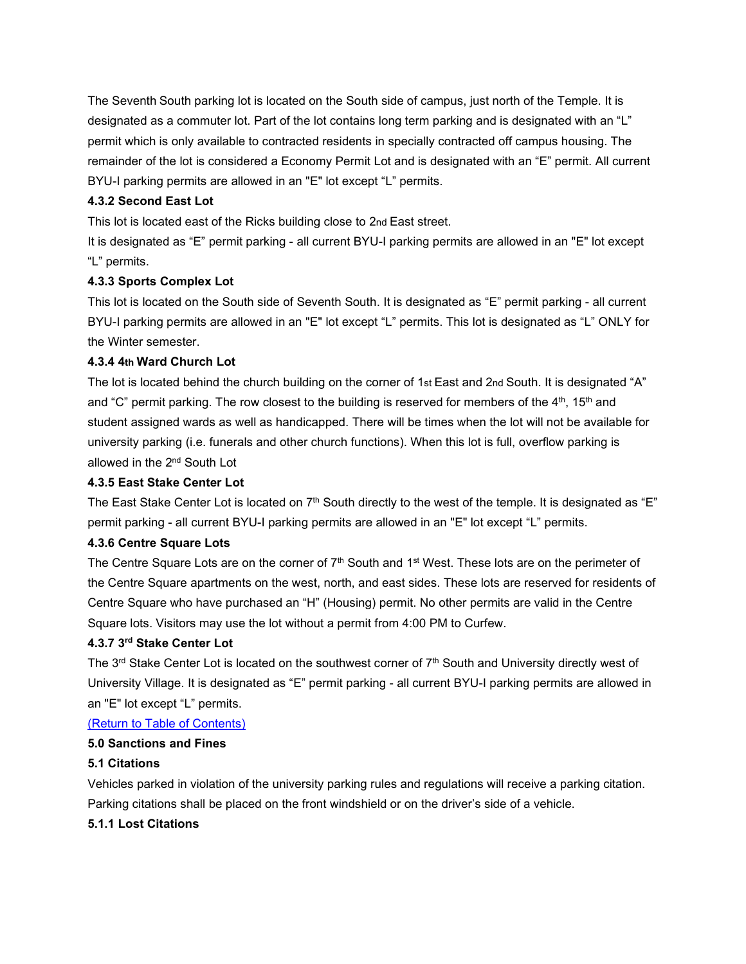The Seventh South parking lot is located on the South side of campus, just north of the Temple. It is designated as a commuter lot. Part of the lot contains long term parking and is designated with an "L" permit which is only available to contracted residents in specially contracted off campus housing. The remainder of the lot is considered a Economy Permit Lot and is designated with an "E" permit. All current BYU-I parking permits are allowed in an "E" lot except "L" permits.

## **4.3.2 Second East Lot**

This lot is located east of the Ricks building close to 2nd East street.

It is designated as "E" permit parking - all current BYU-I parking permits are allowed in an "E" lot except "L" permits.

### **4.3.3 Sports Complex Lot**

This lot is located on the South side of Seventh South. It is designated as "E" permit parking - all current BYU-I parking permits are allowed in an "E" lot except "L" permits. This lot is designated as "L" ONLY for the Winter semester.

### **4.3.4 4th Ward Church Lot**

The lot is located behind the church building on the corner of 1st East and 2nd South. It is designated "A" and "C" permit parking. The row closest to the building is reserved for members of the  $4<sup>th</sup>$ , 15<sup>th</sup> and student assigned wards as well as handicapped. There will be times when the lot will not be available for university parking (i.e. funerals and other church functions). When this lot is full, overflow parking is allowed in the 2nd South Lot

### **4.3.5 East Stake Center Lot**

The East Stake Center Lot is located on  $7<sup>th</sup>$  South directly to the west of the temple. It is designated as "E" permit parking - all current BYU-I parking permits are allowed in an "E" lot except "L" permits.

### **4.3.6 Centre Square Lots**

The Centre Square Lots are on the corner of 7<sup>th</sup> South and 1<sup>st</sup> West. These lots are on the perimeter of the Centre Square apartments on the west, north, and east sides. These lots are reserved for residents of Centre Square who have purchased an "H" (Housing) permit. No other permits are valid in the Centre Square lots. Visitors may use the lot without a permit from 4:00 PM to Curfew.

## **4.3.7 3rd Stake Center Lot**

The 3<sup>rd</sup> Stake Center Lot is located on the southwest corner of 7<sup>th</sup> South and University directly west of University Village. It is designated as "E" permit parking - all current BYU-I parking permits are allowed in an "E" lot except "L" permits.

### [\(Return to Table of Contents\)](#page-0-1)

### <span id="page-13-0"></span>**5.0 Sanctions and Fines**

### **5.1 Citations**

Vehicles parked in violation of the university parking rules and regulations will receive a parking citation. Parking citations shall be placed on the front windshield or on the driver's side of a vehicle.

### **5.1.1 Lost Citations**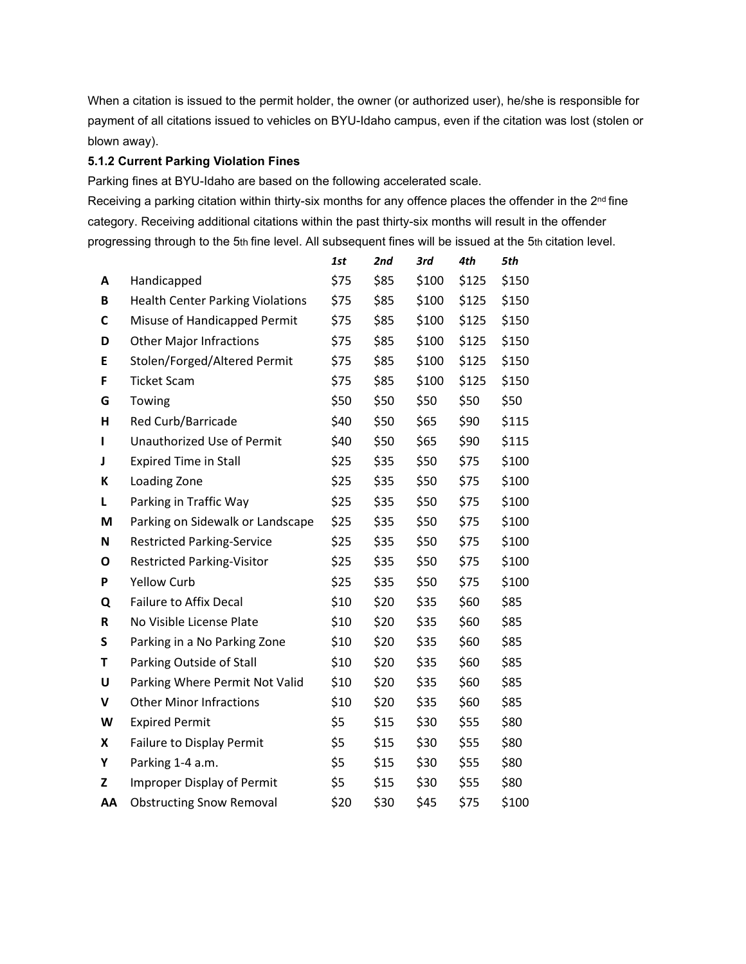When a citation is issued to the permit holder, the owner (or authorized user), he/she is responsible for payment of all citations issued to vehicles on BYU-Idaho campus, even if the citation was lost (stolen or blown away).

## **5.1.2 Current Parking Violation Fines**

Parking fines at BYU-Idaho are based on the following accelerated scale.

Receiving a parking citation within thirty-six months for any offence places the offender in the 2<sup>nd</sup> fine category. Receiving additional citations within the past thirty-six months will result in the offender progressing through to the 5th fine level. All subsequent fines will be issued at the 5th citation level.

|             |                                         | 1st  | 2nd  | 3rd   | 4th   | 5th   |
|-------------|-----------------------------------------|------|------|-------|-------|-------|
| A           | Handicapped                             | \$75 | \$85 | \$100 | \$125 | \$150 |
| В           | <b>Health Center Parking Violations</b> | \$75 | \$85 | \$100 | \$125 | \$150 |
| C           | Misuse of Handicapped Permit            | \$75 | \$85 | \$100 | \$125 | \$150 |
| D           | <b>Other Major Infractions</b>          | \$75 | \$85 | \$100 | \$125 | \$150 |
| E           | Stolen/Forged/Altered Permit            | \$75 | \$85 | \$100 | \$125 | \$150 |
| F           | <b>Ticket Scam</b>                      | \$75 | \$85 | \$100 | \$125 | \$150 |
| G           | Towing                                  | \$50 | \$50 | \$50  | \$50  | \$50  |
| н           | Red Curb/Barricade                      | \$40 | \$50 | \$65  | \$90  | \$115 |
| L           | Unauthorized Use of Permit              | \$40 | \$50 | \$65  | \$90  | \$115 |
| J           | <b>Expired Time in Stall</b>            | \$25 | \$35 | \$50  | \$75  | \$100 |
| К           | Loading Zone                            | \$25 | \$35 | \$50  | \$75  | \$100 |
| L           | Parking in Traffic Way                  | \$25 | \$35 | \$50  | \$75  | \$100 |
| M           | Parking on Sidewalk or Landscape        | \$25 | \$35 | \$50  | \$75  | \$100 |
| N           | <b>Restricted Parking-Service</b>       | \$25 | \$35 | \$50  | \$75  | \$100 |
| O           | <b>Restricted Parking-Visitor</b>       | \$25 | \$35 | \$50  | \$75  | \$100 |
| P           | <b>Yellow Curb</b>                      | \$25 | \$35 | \$50  | \$75  | \$100 |
| Q           | <b>Failure to Affix Decal</b>           | \$10 | \$20 | \$35  | \$60  | \$85  |
| $\mathsf R$ | No Visible License Plate                | \$10 | \$20 | \$35  | \$60  | \$85  |
| S           | Parking in a No Parking Zone            | \$10 | \$20 | \$35  | \$60  | \$85  |
| Τ           | Parking Outside of Stall                | \$10 | \$20 | \$35  | \$60  | \$85  |
| U           | Parking Where Permit Not Valid          | \$10 | \$20 | \$35  | \$60  | \$85  |
| V           | <b>Other Minor Infractions</b>          | \$10 | \$20 | \$35  | \$60  | \$85  |
| W           | <b>Expired Permit</b>                   | \$5  | \$15 | \$30  | \$55  | \$80  |
| X           | Failure to Display Permit               | \$5  | \$15 | \$30  | \$55  | \$80  |
| Υ           | Parking 1-4 a.m.                        | \$5  | \$15 | \$30  | \$55  | \$80  |
| z           | <b>Improper Display of Permit</b>       | \$5  | \$15 | \$30  | \$55  | \$80  |
| AA          | <b>Obstructing Snow Removal</b>         | \$20 | \$30 | \$45  | \$75  | \$100 |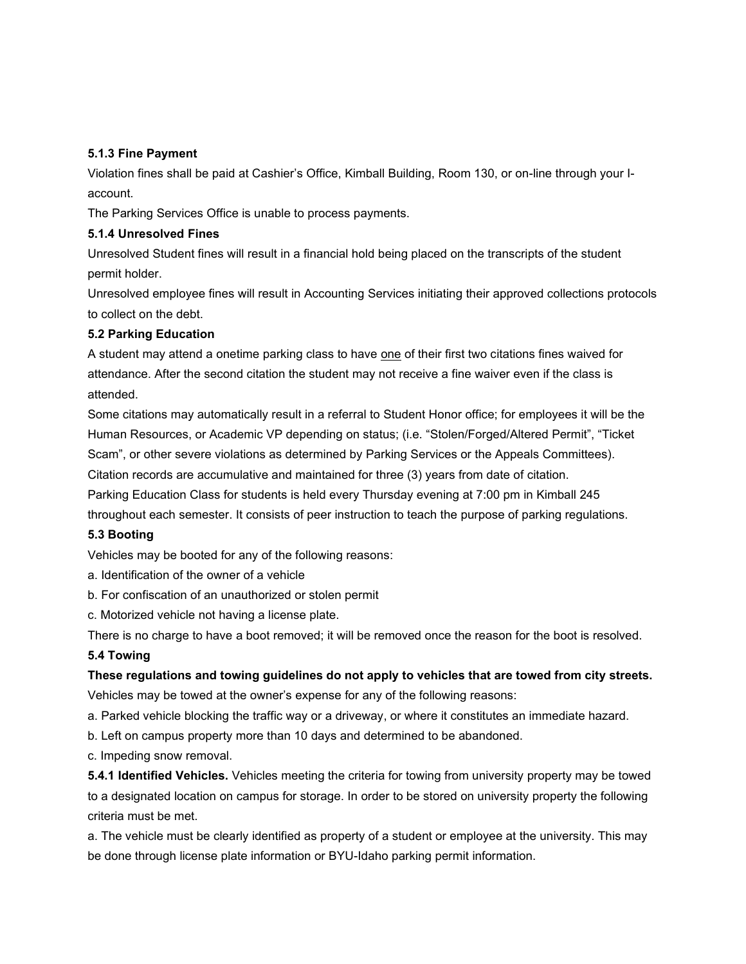#### **5.1.3 Fine Payment**

Violation fines shall be paid at Cashier's Office, Kimball Building, Room 130, or on-line through your Iaccount.

The Parking Services Office is unable to process payments.

#### **5.1.4 Unresolved Fines**

Unresolved Student fines will result in a financial hold being placed on the transcripts of the student permit holder.

Unresolved employee fines will result in Accounting Services initiating their approved collections protocols to collect on the debt.

### **5.2 Parking Education**

A student may attend a onetime parking class to have one of their first two citations fines waived for attendance. After the second citation the student may not receive a fine waiver even if the class is attended.

Some citations may automatically result in a referral to Student Honor office; for employees it will be the Human Resources, or Academic VP depending on status; (i.e. "Stolen/Forged/Altered Permit", "Ticket Scam", or other severe violations as determined by Parking Services or the Appeals Committees). Citation records are accumulative and maintained for three (3) years from date of citation.

Parking Education Class for students is held every Thursday evening at 7:00 pm in Kimball 245

throughout each semester. It consists of peer instruction to teach the purpose of parking regulations.

### **5.3 Booting**

Vehicles may be booted for any of the following reasons:

- a. Identification of the owner of a vehicle
- b. For confiscation of an unauthorized or stolen permit
- c. Motorized vehicle not having a license plate.

There is no charge to have a boot removed; it will be removed once the reason for the boot is resolved.

### **5.4 Towing**

**These regulations and towing guidelines do not apply to vehicles that are towed from city streets.** Vehicles may be towed at the owner's expense for any of the following reasons:

a. Parked vehicle blocking the traffic way or a driveway, or where it constitutes an immediate hazard.

b. Left on campus property more than 10 days and determined to be abandoned.

c. Impeding snow removal.

**5.4.1 Identified Vehicles.** Vehicles meeting the criteria for towing from university property may be towed to a designated location on campus for storage. In order to be stored on university property the following criteria must be met.

a. The vehicle must be clearly identified as property of a student or employee at the university. This may be done through license plate information or BYU-Idaho parking permit information.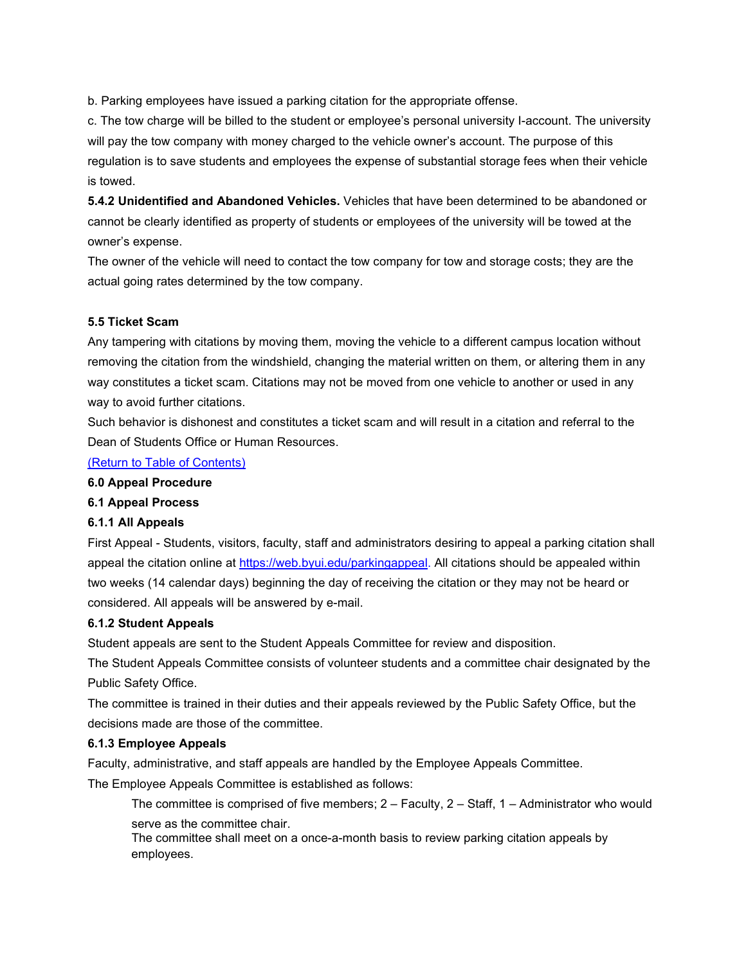b. Parking employees have issued a parking citation for the appropriate offense.

c. The tow charge will be billed to the student or employee's personal university I-account. The university will pay the tow company with money charged to the vehicle owner's account. The purpose of this regulation is to save students and employees the expense of substantial storage fees when their vehicle is towed.

**5.4.2 Unidentified and Abandoned Vehicles.** Vehicles that have been determined to be abandoned or cannot be clearly identified as property of students or employees of the university will be towed at the owner's expense.

The owner of the vehicle will need to contact the tow company for tow and storage costs; they are the actual going rates determined by the tow company.

### **5.5 Ticket Scam**

Any tampering with citations by moving them, moving the vehicle to a different campus location without removing the citation from the windshield, changing the material written on them, or altering them in any way constitutes a ticket scam. Citations may not be moved from one vehicle to another or used in any way to avoid further citations.

Such behavior is dishonest and constitutes a ticket scam and will result in a citation and referral to the Dean of Students Office or Human Resources.

[\(Return to Table of Contents\)](#page-0-1)

#### <span id="page-16-0"></span>**6.0 Appeal Procedure**

### **6.1 Appeal Process**

### **6.1.1 All Appeals**

First Appeal - Students, visitors, faculty, staff and administrators desiring to appeal a parking citation shall appeal the citation online at [https://web.byui.edu/parkingappeal.](https://web.byui.edu/parkingappeal) All citations should be appealed within two weeks (14 calendar days) beginning the day of receiving the citation or they may not be heard or considered. All appeals will be answered by e-mail.

### **6.1.2 Student Appeals**

Student appeals are sent to the Student Appeals Committee for review and disposition.

The Student Appeals Committee consists of volunteer students and a committee chair designated by the Public Safety Office.

The committee is trained in their duties and their appeals reviewed by the Public Safety Office, but the decisions made are those of the committee.

### **6.1.3 Employee Appeals**

Faculty, administrative, and staff appeals are handled by the Employee Appeals Committee.

The Employee Appeals Committee is established as follows:

The committee is comprised of five members; 2 – Faculty, 2 – Staff, 1 – Administrator who would serve as the committee chair.

The committee shall meet on a once-a-month basis to review parking citation appeals by employees.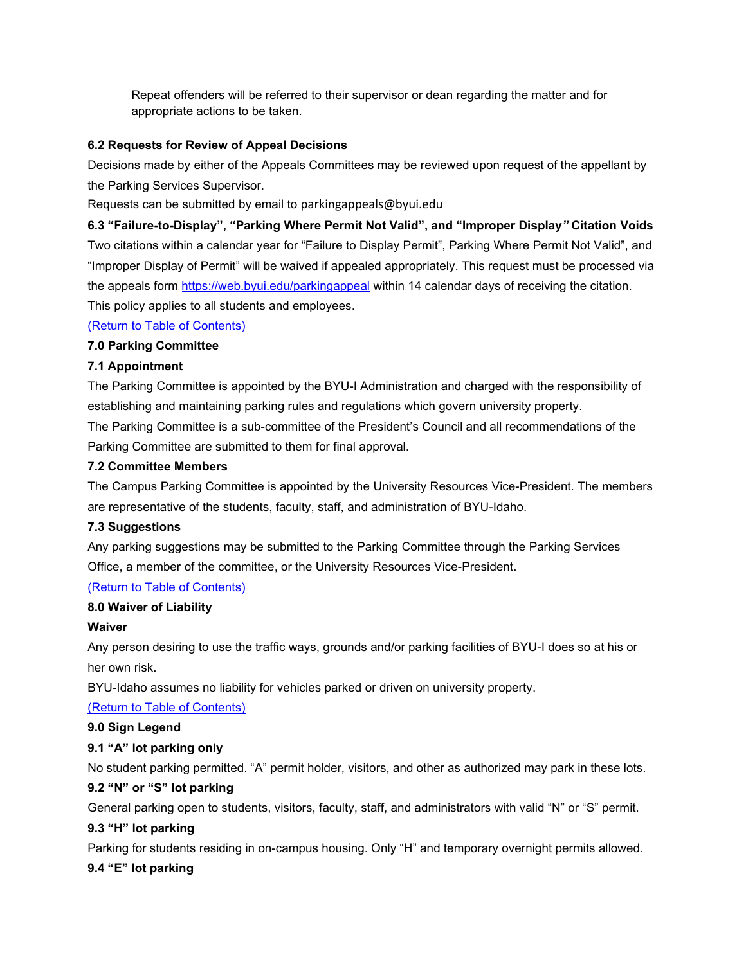Repeat offenders will be referred to their supervisor or dean regarding the matter and for appropriate actions to be taken.

## **6.2 Requests for Review of Appeal Decisions**

Decisions made by either of the Appeals Committees may be reviewed upon request of the appellant by the Parking Services Supervisor.

Requests can be submitted by email to parkingappeals@byui.edu

**6.3 "Failure-to-Display", "Parking Where Permit Not Valid", and "Improper Display***"* **Citation Voids** Two citations within a calendar year for "Failure to Display Permit", Parking Where Permit Not Valid", and "Improper Display of Permit" will be waived if appealed appropriately. This request must be processed via the appeals form<https://web.byui.edu/parkingappeal> within 14 calendar days of receiving the citation. This policy applies to all students and employees.

## [\(Return to Table of Contents\)](#page-0-1)

## <span id="page-17-0"></span>**7.0 Parking Committee**

## **7.1 Appointment**

The Parking Committee is appointed by the BYU-I Administration and charged with the responsibility of establishing and maintaining parking rules and regulations which govern university property.

The Parking Committee is a sub-committee of the President's Council and all recommendations of the Parking Committee are submitted to them for final approval.

### **7.2 Committee Members**

The Campus Parking Committee is appointed by the University Resources Vice-President. The members are representative of the students, faculty, staff, and administration of BYU-Idaho.

### **7.3 Suggestions**

Any parking suggestions may be submitted to the Parking Committee through the Parking Services Office, a member of the committee, or the University Resources Vice-President.

### [\(Return to Table of Contents\)](#page-0-1)

### <span id="page-17-1"></span>**8.0 Waiver of Liability**

### **Waiver**

Any person desiring to use the traffic ways, grounds and/or parking facilities of BYU-I does so at his or her own risk.

BYU-Idaho assumes no liability for vehicles parked or driven on university property.

[\(Return to Table of Contents\)](#page-0-1)

### <span id="page-17-2"></span>**9.0 Sign Legend**

# **9.1 "A" lot parking only**

No student parking permitted. "A" permit holder, visitors, and other as authorized may park in these lots.

# **9.2 "N" or "S" lot parking**

General parking open to students, visitors, faculty, staff, and administrators with valid "N" or "S" permit.

# **9.3 "H" lot parking**

Parking for students residing in on-campus housing. Only "H" and temporary overnight permits allowed.

# **9.4 "E" lot parking**